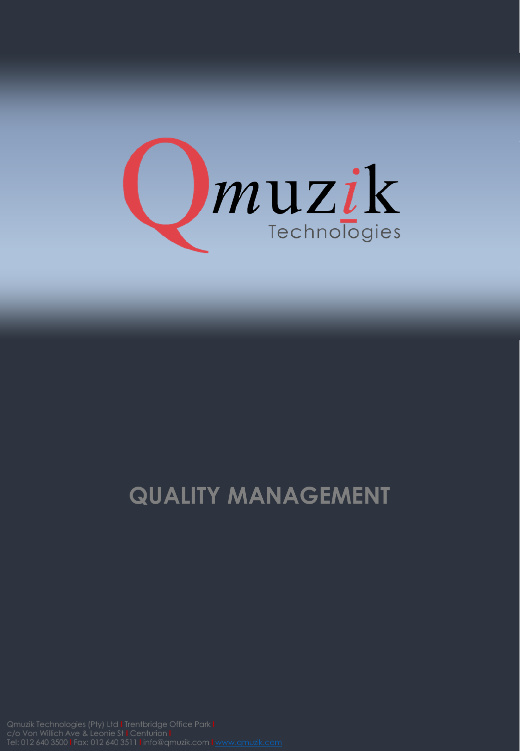

## **QUALITY MANAGEMENT**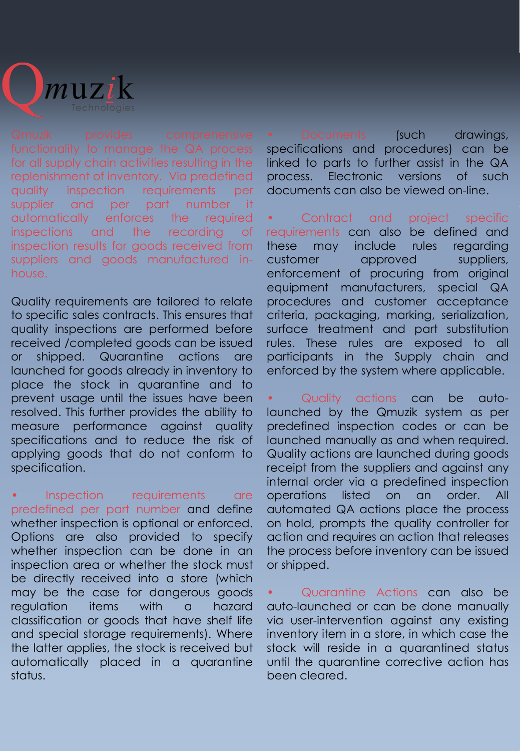

for all supply chain activities resulting in the replenishment of inventory. Via predefined quality inspection requirements per supplier and per part number it automatically enforces the required inspections and the recording of inspection results for goods received from suppliers and goods manufactured inhouse.

Quality requirements are tailored to relate to specific sales contracts. This ensures that quality inspections are performed before received /completed goods can be issued or shipped. Quarantine actions are launched for goods already in inventory to place the stock in quarantine and to prevent usage until the issues have been resolved. This further provides the ability to measure performance against quality specifications and to reduce the risk of applying goods that do not conform to specification.

Inspection requirements are predefined per part number and define whether inspection is optional or enforced. Options are also provided to specify whether inspection can be done in an inspection area or whether the stock must be directly received into a store (which may be the case for dangerous goods regulation items with a hazard classification or goods that have shelf life and special storage requirements). Where the latter applies, the stock is received but automatically placed in a quarantine status.

• Documents (such drawings, specifications and procedures) can be linked to parts to further assist in the QA process. Electronic versions of such documents can also be viewed on-line.

Contract and project specific requirements can also be defined and these may include rules regarding customer approved suppliers, enforcement of procuring from original equipment manufacturers, special QA procedures and customer acceptance criteria, packaging, marking, serialization, surface treatment and part substitution rules. These rules are exposed to all participants in the Supply chain and enforced by the system where applicable.

• Quality actions can be autolaunched by the Qmuzik system as per predefined inspection codes or can be launched manually as and when required. Quality actions are launched during goods receipt from the suppliers and against any internal order via a predefined inspection operations listed on an order. All automated QA actions place the process on hold, prompts the quality controller for action and requires an action that releases the process before inventory can be issued or shipped.

• Quarantine Actions can also be auto-launched or can be done manually via user-intervention against any existing inventory item in a store, in which case the stock will reside in a quarantined status until the quarantine corrective action has been cleared.